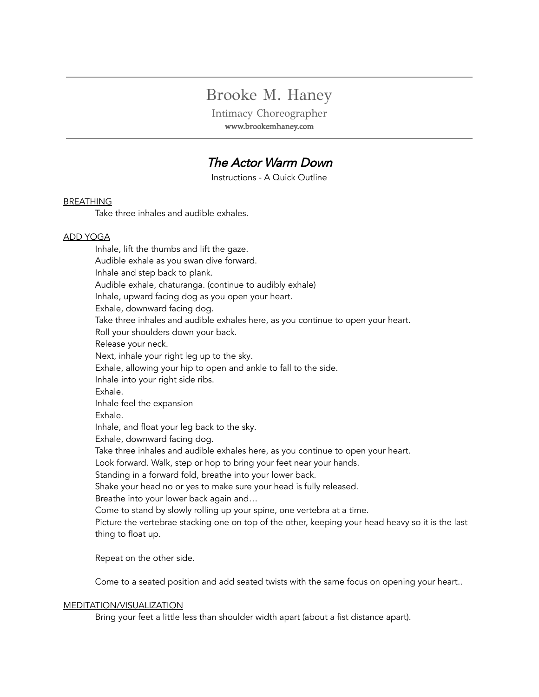# Brooke M. Haney

Intimacy Choreographer www.brookemhaney.com

# The Actor Warm Down

Instructions - A Quick Outline

## BREATHING

Take three inhales and audible exhales.

### ADD YOGA

Inhale, lift the thumbs and lift the gaze. Audible exhale as you swan dive forward. Inhale and step back to plank. Audible exhale, chaturanga. (continue to audibly exhale) Inhale, upward facing dog as you open your heart. Exhale, downward facing dog. Take three inhales and audible exhales here, as you continue to open your heart. Roll your shoulders down your back. Release your neck. Next, inhale your right leg up to the sky. Exhale, allowing your hip to open and ankle to fall to the side. Inhale into your right side ribs. Exhale. Inhale feel the expansion Exhale. Inhale, and float your leg back to the sky. Exhale, downward facing dog. Take three inhales and audible exhales here, as you continue to open your heart. Look forward. Walk, step or hop to bring your feet near your hands. Standing in a forward fold, breathe into your lower back. Shake your head no or yes to make sure your head is fully released. Breathe into your lower back again and… Come to stand by slowly rolling up your spine, one vertebra at a time. Picture the vertebrae stacking one on top of the other, keeping your head heavy so it is the last thing to float up.

Repeat on the other side.

Come to a seated position and add seated twists with the same focus on opening your heart..

#### MEDITATION/VISUALIZATION

Bring your feet a little less than shoulder width apart (about a fist distance apart).